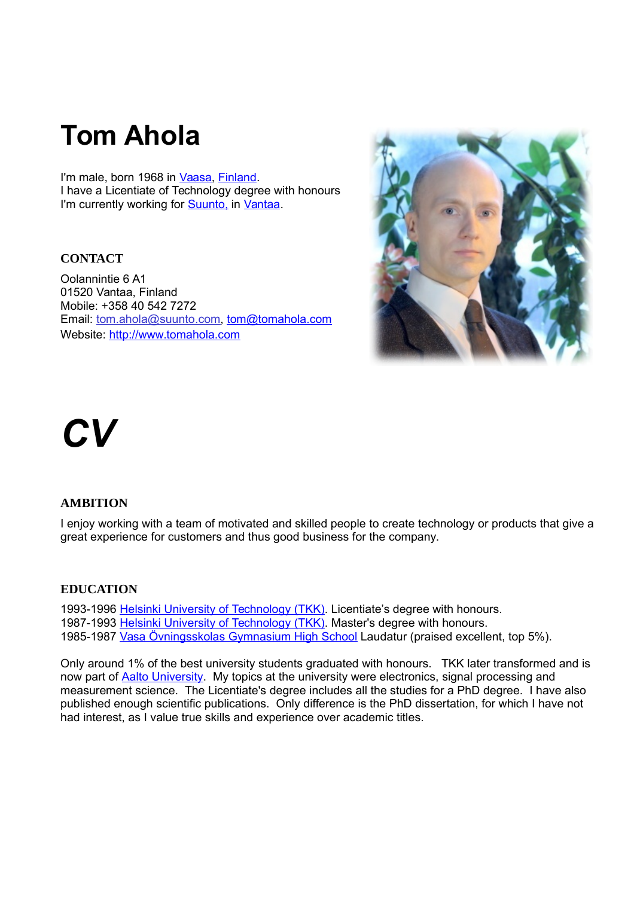## **Tom Ahola**

I'm male, born 1968 in [Vaasa,](http://www.vaasa.fi/) [Finland.](http://www.finland.fi/) I have a Licentiate of Technology degree with honours I'm currently working for **Suunto**, in [Vantaa.](http://www.vantaa.fi/front_page)

## **CONTACT**

Oolannintie 6 A1 01520 Vantaa, Finland Mobile: +358 40 542 7272 Email: tom.ahola@suunto.com, [tom@tomahola.com](mailto:tom@tomahola.com) Website: http://www.tomahola.com



# *CV*

## **AMBITION**

I enjoy working with a team of motivated and skilled people to create technology or products that give a great experience for customers and thus good business for the company.

## **EDUCATION**

1993-1996 [Helsinki University of Technology \(TKK\).](http://elec.aalto.fi/en/) Licentiate's degree with honours. 1987-1993 [Helsinki University of Technology \(TKK\).](http://elec.aalto.fi/en/) Master's degree with honours. 1985-1987 [Vasa Övningsskolas Gymnasium High School](https://oldwww.abo.fi/vos/gymnasiet/) Laudatur (praised excellent, top 5%).

Only around 1% of the best university students graduated with honours. TKK later transformed and is now part of **Aalto University**. My topics at the university were electronics, signal processing and measurement science. The Licentiate's degree includes all the studies for a PhD degree. I have also published enough scientific publications. Only difference is the PhD dissertation, for which I have not had interest, as I value true skills and experience over academic titles.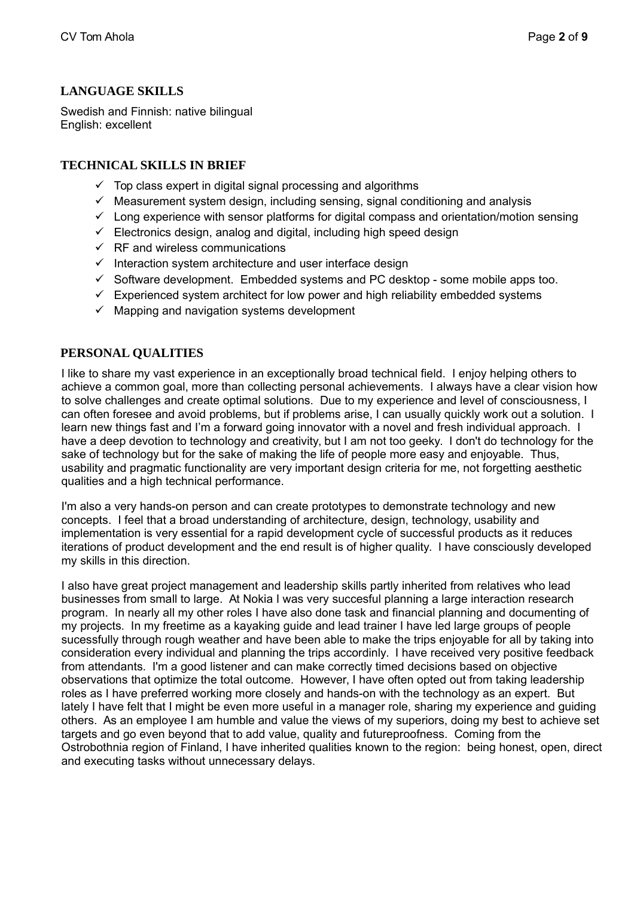## **LANGUAGE SKILLS**

Swedish and Finnish: native bilingual English: excellent

## **TECHNICAL SKILLS IN BRIEF**

- $\checkmark$  Top class expert in digital signal processing and algorithms
- $\checkmark$  Measurement system design, including sensing, signal conditioning and analysis
- $\checkmark$  Long experience with sensor platforms for digital compass and orientation/motion sensing
- $\checkmark$  Electronics design, analog and digital, including high speed design
- $\checkmark$  RF and wireless communications
- $\checkmark$  Interaction system architecture and user interface design
- $\checkmark$  Software development. Embedded systems and PC desktop some mobile apps too.
- $\checkmark$  Experienced system architect for low power and high reliability embedded systems
- $\checkmark$  Mapping and navigation systems development

## **PERSONAL QUALITIES**

I like to share my vast experience in an exceptionally broad technical field. I enjoy helping others to achieve a common goal, more than collecting personal achievements. I always have a clear vision how to solve challenges and create optimal solutions. Due to my experience and level of consciousness, I can often foresee and avoid problems, but if problems arise, I can usually quickly work out a solution. I learn new things fast and I'm a forward going innovator with a novel and fresh individual approach. I have a deep devotion to technology and creativity, but I am not too geeky. I don't do technology for the sake of technology but for the sake of making the life of people more easy and enjoyable. Thus, usability and pragmatic functionality are very important design criteria for me, not forgetting aesthetic qualities and a high technical performance.

I'm also a very hands-on person and can create prototypes to demonstrate technology and new concepts. I feel that a broad understanding of architecture, design, technology, usability and implementation is very essential for a rapid development cycle of successful products as it reduces iterations of product development and the end result is of higher quality. I have consciously developed my skills in this direction.

I also have great project management and leadership skills partly inherited from relatives who lead businesses from small to large. At Nokia I was very succesful planning a large interaction research program. In nearly all my other roles I have also done task and financial planning and documenting of my projects. In my freetime as a kayaking guide and lead trainer I have led large groups of people sucessfully through rough weather and have been able to make the trips enjoyable for all by taking into consideration every individual and planning the trips accordinly. I have received very positive feedback from attendants. I'm a good listener and can make correctly timed decisions based on objective observations that optimize the total outcome. However, I have often opted out from taking leadership roles as I have preferred working more closely and hands-on with the technology as an expert. But lately I have felt that I might be even more useful in a manager role, sharing my experience and guiding others. As an employee I am humble and value the views of my superiors, doing my best to achieve set targets and go even beyond that to add value, quality and futureproofness. Coming from the Ostrobothnia region of Finland, I have inherited qualities known to the region: being honest, open, direct and executing tasks without unnecessary delays.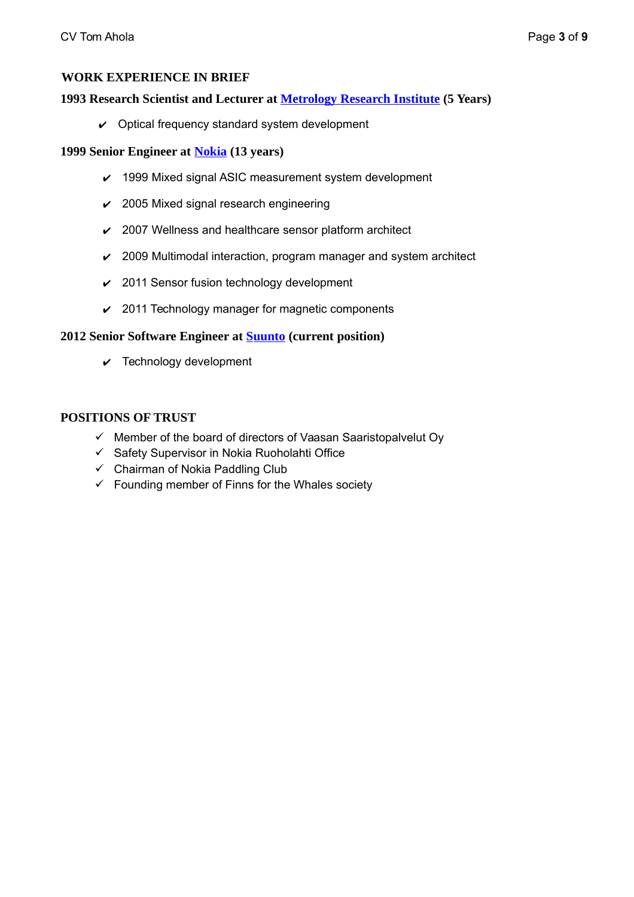## **WORK EXPERIENCE IN BRIEF**

## **1993 Research Scientist and Lecturer at [Metrology Research Institute](http://metrology.tkk.fi/) (5 Years)**

 $\vee$  Optical frequency standard system development

## **1999 Senior Engineer at [Nokia](http://www.nokia.com/) (13 years)**

- $\vee$  1999 Mixed signal ASIC measurement system development
- $\vee$  2005 Mixed signal research engineering
- $\angle$  2007 Wellness and healthcare sensor platform architect
- $\sim$  2009 Multimodal interaction, program manager and system architect
- $\vee$  2011 Sensor fusion technology development
- $\vee$  2011 Technology manager for magnetic components

## **2012 Senior Software Engineer at [Suunto](http://www.suunto.com/) (current position)**

 $\vee$  Technology development

## **POSITIONS OF TRUST**

- $\checkmark$  Member of the board of directors of Vaasan Saaristopalvelut Oy
- $\checkmark$  Safety Supervisor in Nokia Ruoholahti Office
- $\checkmark$  Chairman of Nokia Paddling Club
- $\checkmark$  Founding member of Finns for the Whales society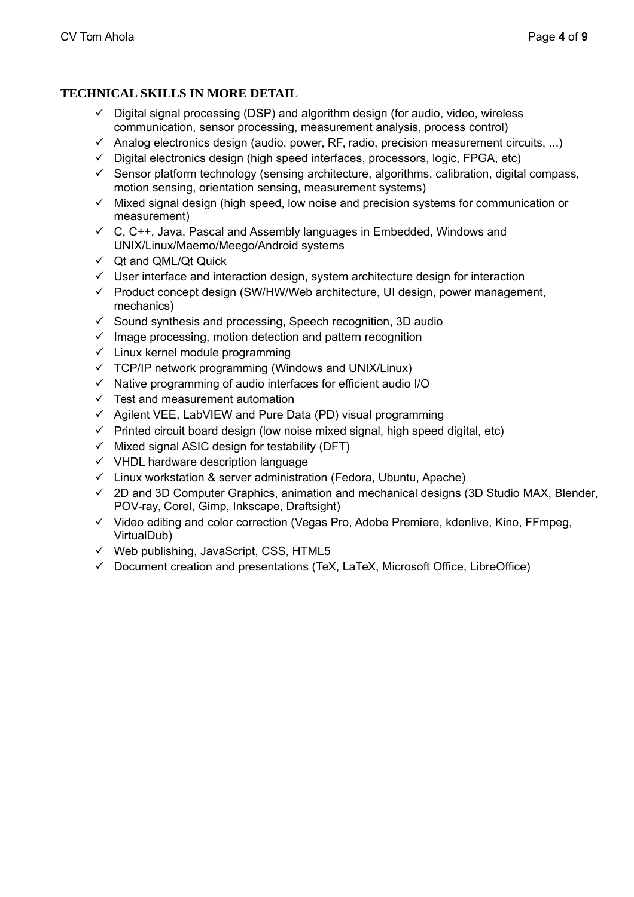## **TECHNICAL SKILLS IN MORE DETAIL**

- $\checkmark$  Digital signal processing (DSP) and algorithm design (for audio, video, wireless communication, sensor processing, measurement analysis, process control)
- $\checkmark$  Analog electronics design (audio, power, RF, radio, precision measurement circuits, ...)
- $\checkmark$  Digital electronics design (high speed interfaces, processors, logic, FPGA, etc)
- $\checkmark$  Sensor platform technology (sensing architecture, algorithms, calibration, digital compass, motion sensing, orientation sensing, measurement systems)
- $\checkmark$  Mixed signal design (high speed, low noise and precision systems for communication or measurement)
- $\checkmark$  C, C++, Java, Pascal and Assembly languages in Embedded, Windows and UNIX/Linux/Maemo/Meego/Android systems
- $\checkmark$  Qt and QML/Qt Quick
- $\checkmark$  User interface and interaction design, system architecture design for interaction
- $\checkmark$  Product concept design (SW/HW/Web architecture, UI design, power management, mechanics)
- $\checkmark$  Sound synthesis and processing, Speech recognition, 3D audio
- $\checkmark$  Image processing, motion detection and pattern recognition
- $\checkmark$  Linux kernel module programming
- $\checkmark$  TCP/IP network programming (Windows and UNIX/Linux)
- $\checkmark$  Native programming of audio interfaces for efficient audio I/O
- $\checkmark$  Test and measurement automation
- $\checkmark$  Agilent VEE, LabVIEW and Pure Data (PD) visual programming
- $\checkmark$  Printed circuit board design (low noise mixed signal, high speed digital, etc)
- $\checkmark$  Mixed signal ASIC design for testability (DFT)
- $\checkmark$  VHDL hardware description language
- $\checkmark$  Linux workstation & server administration (Fedora, Ubuntu, Apache)
- $\checkmark$  2D and 3D Computer Graphics, animation and mechanical designs (3D Studio MAX, Blender, POV-ray, Corel, Gimp, Inkscape, Draftsight)
- $\checkmark$  Video editing and color correction (Vegas Pro, Adobe Premiere, kdenlive, Kino, FFmpeg, VirtualDub)
- $\checkmark$  Web publishing, JavaScript, CSS, HTML5
- $\checkmark$  Document creation and presentations (TeX, LaTeX, Microsoft Office, LibreOffice)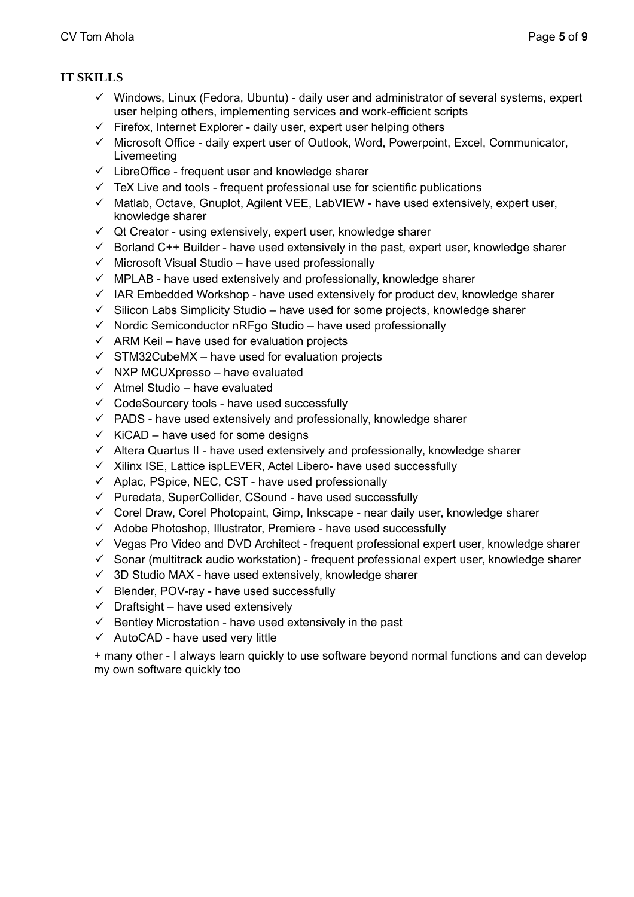## **IT SKILLS**

- $\checkmark$  Windows, Linux (Fedora, Ubuntu) daily user and administrator of several systems, expert user helping others, implementing services and work-efficient scripts
- $\checkmark$  Firefox, Internet Explorer daily user, expert user helping others
- $\checkmark$  Microsoft Office daily expert user of Outlook, Word, Powerpoint, Excel, Communicator, Livemeeting
- $\checkmark$  LibreOffice frequent user and knowledge sharer
- $\checkmark$  TeX Live and tools frequent professional use for scientific publications
- $\checkmark$  Matlab, Octave, Gnuplot, Agilent VEE, LabVIEW have used extensively, expert user, knowledge sharer
- $\checkmark$  Qt Creator using extensively, expert user, knowledge sharer
- $\checkmark$  Borland C++ Builder have used extensively in the past, expert user, knowledge sharer
- $\checkmark$  Microsoft Visual Studio have used professionally
- $\checkmark$  MPLAB have used extensively and professionally, knowledge sharer
- $\checkmark$  IAR Embedded Workshop have used extensively for product dev, knowledge sharer
- $\checkmark$  Silicon Labs Simplicity Studio have used for some projects, knowledge sharer
- $\checkmark$  Nordic Semiconductor nRFgo Studio have used professionally
- $\checkmark$  ARM Keil have used for evaluation projects
- $\checkmark$  STM32CubeMX have used for evaluation projects
- $\checkmark$  NXP MCUXpresso have evaluated
- $\checkmark$  Atmel Studio have evaluated
- $\checkmark$  CodeSourcery tools have used successfully
- $\checkmark$  PADS have used extensively and professionally, knowledge sharer
- $\checkmark$  KiCAD have used for some designs
- $\checkmark$  Altera Quartus II have used extensively and professionally, knowledge sharer
- $\checkmark$  Xilinx ISE, Lattice ispLEVER, Actel Libero- have used successfully
- $\checkmark$  Aplac, PSpice, NEC, CST have used professionally
- $\checkmark$  Puredata, SuperCollider, CSound have used successfully
- $\checkmark$  Corel Draw, Corel Photopaint, Gimp, Inkscape near daily user, knowledge sharer
- $\checkmark$  Adobe Photoshop, Illustrator, Premiere have used successfully
- $\checkmark$  Vegas Pro Video and DVD Architect frequent professional expert user, knowledge sharer
- $\checkmark$  Sonar (multitrack audio workstation) frequent professional expert user, knowledge sharer
- $\checkmark$  3D Studio MAX have used extensively, knowledge sharer
- $\checkmark$  Blender, POV-ray have used successfully
- $\checkmark$  Draftsight have used extensively
- $\checkmark$  Bentley Microstation have used extensively in the past
- $\checkmark$  AutoCAD have used very little

+ many other - I always learn quickly to use software beyond normal functions and can develop my own software quickly too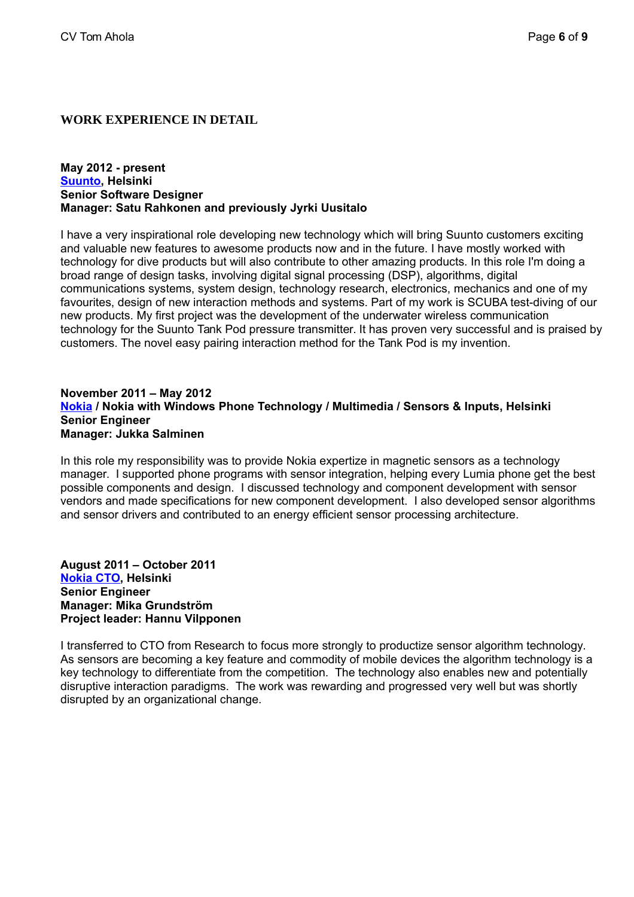## **WORK EXPERIENCE IN DETAIL**

## **May 2012 - present [Suunto,](http://www.suunto.com/) Helsinki Senior Software Designer Manager: Satu Rahkonen and previously Jyrki Uusitalo**

I have a very inspirational role developing new technology which will bring Suunto customers exciting and valuable new features to awesome products now and in the future. I have mostly worked with technology for dive products but will also contribute to other amazing products. In this role I'm doing a broad range of design tasks, involving digital signal processing (DSP), algorithms, digital communications systems, system design, technology research, electronics, mechanics and one of my favourites, design of new interaction methods and systems. Part of my work is SCUBA test-diving of our new products. My first project was the development of the underwater wireless communication technology for the Suunto Tank Pod pressure transmitter. It has proven very successful and is praised by customers. The novel easy pairing interaction method for the Tank Pod is my invention.

## **November 2011 – May 2012 [Nokia](http://www.nokia.com/) / Nokia with Windows Phone Technology / Multimedia / Sensors & Inputs, Helsinki Senior Engineer Manager: Jukka Salminen**

In this role my responsibility was to provide Nokia expertize in magnetic sensors as a technology manager. I supported phone programs with sensor integration, helping every Lumia phone get the best possible components and design. I discussed technology and component development with sensor vendors and made specifications for new component development. I also developed sensor algorithms and sensor drivers and contributed to an energy efficient sensor processing architecture.

**August 2011 – October 2011  [NokiaCTO,](http://www.nokia.com/) Helsinki Senior Engineer Manager: Mika Grundström Project leader: Hannu Vilpponen**

I transferred to CTO from Research to focus more strongly to productize sensor algorithm technology. As sensors are becoming a key feature and commodity of mobile devices the algorithm technology is a key technology to differentiate from the competition. The technology also enables new and potentially disruptive interaction paradigms. The work was rewarding and progressed very well but was shortly disrupted by an organizational change.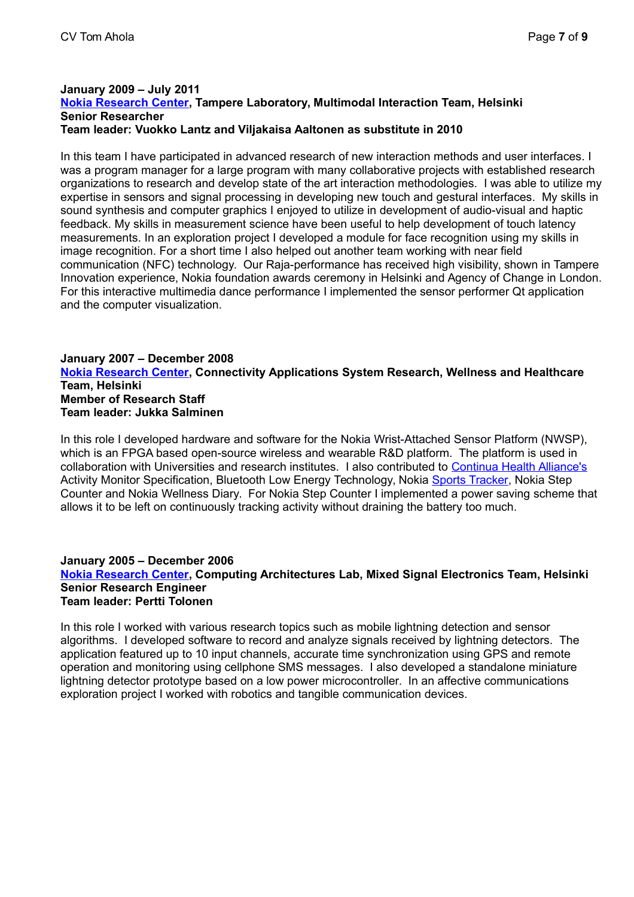## **January 2009 – July 2011 [Nokia Research Center,](http://research.nokia.com/) Tampere Laboratory, Multimodal Interaction Team, Helsinki Senior Researcher Team leader: Vuokko Lantz and Viljakaisa Aaltonen as substitute in 2010**

In this team I have participated in advanced research of new interaction methods and user interfaces. I was a program manager for a large program with many collaborative projects with established research organizations to research and develop state of the art interaction methodologies. I was able to utilize my expertise in sensors and signal processing in developing new touch and gestural interfaces. My skills in sound synthesis and computer graphics I enjoyed to utilize in development of audio-visual and haptic feedback. My skills in measurement science have been useful to help development of touch latency measurements. In an exploration project I developed a module for face recognition using my skills in image recognition. For a short time I also helped out another team working with near field communication (NFC) technology. Our Raja-performance has received high visibility, shown in Tampere Innovation experience, Nokia foundation awards ceremony in Helsinki and Agency of Change in London. For this interactive multimedia dance performance I implemented the sensor performer Qt application and the computer visualization.

## **January 2007 – December 2008 [Nokia Research Center,](http://research.nokia.com/) Connectivity Applications System Research, Wellness and Healthcare Team, Helsinki Member of Research Staff Team leader: Jukka Salminen**

In this role I developed hardware and software for the Nokia Wrist-Attached Sensor Platform (NWSP), which is an FPGA based open-source wireless and wearable R&D platform. The platform is used in collaboration with Universities and research institutes. I also contributed to [Continua Health Alliance's](http://www.continuaalliance.org/) Activity Monitor Specification, Bluetooth Low Energy Technology, Nokia [Sports Tracker,](http://www.sports-tracker.com/) Nokia Step Counter and Nokia Wellness Diary. For Nokia Step Counter I implemented a power saving scheme that allows it to be left on continuously tracking activity without draining the battery too much.

## **January 2005 – December 2006 [Nokia Research Center,](http://research.nokia.com/) Computing Architectures Lab, Mixed Signal Electronics Team, Helsinki Senior Research Engineer Team leader: Pertti Tolonen**

In this role I worked with various research topics such as mobile lightning detection and sensor algorithms. I developed software to record and analyze signals received by lightning detectors. The application featured up to 10 input channels, accurate time synchronization using GPS and remote operation and monitoring using cellphone SMS messages. I also developed a standalone miniature lightning detector prototype based on a low power microcontroller. In an affective communications exploration project I worked with robotics and tangible communication devices.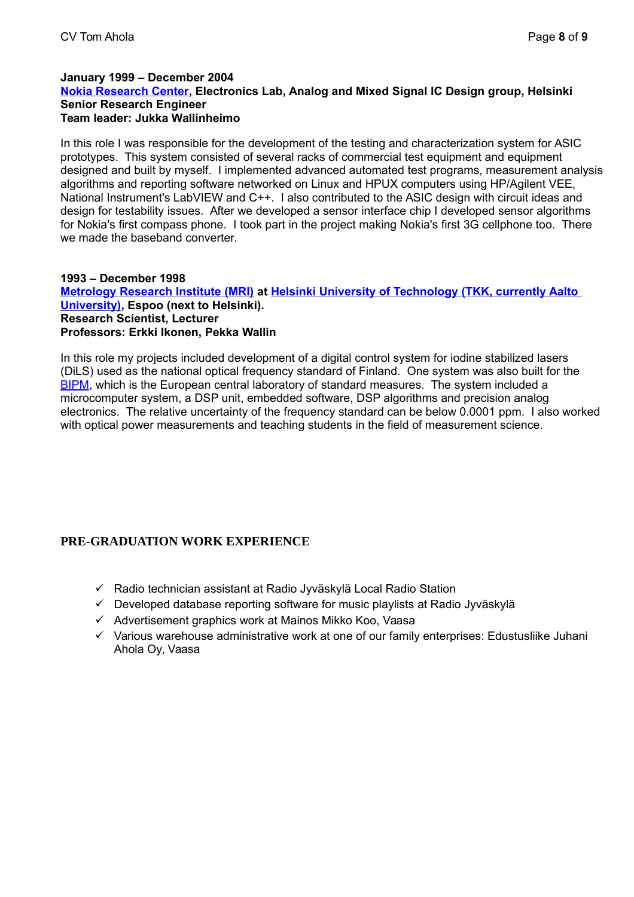## **January 1999 – December 2004 [Nokia Research Center,](http://research.nokia.com/) Electronics Lab, Analog and Mixed Signal IC Design group, Helsinki Senior Research Engineer Team leader: Jukka Wallinheimo**

In this role I was responsible for the development of the testing and characterization system for ASIC prototypes. This system consisted of several racks of commercial test equipment and equipment designed and built by myself. I implemented advanced automated test programs, measurement analysis algorithms and reporting software networked on Linux and HPUX computers using HP/Agilent VEE, National Instrument's LabVIEW and C++. I also contributed to the ASIC design with circuit ideas and design for testability issues. After we developed a sensor interface chip I developed sensor algorithms for Nokia's first compass phone. I took part in the project making Nokia's first 3G cellphone too. There we made the baseband converter.

## **1993 – December 1998 [Metrology Research Institute \(MRI\)](http://metrology.tkk.fi/) at [Helsinki University of Technology \(TKK, currently Aalto](http://www.tkk.fi/en/)  [University\),](http://www.tkk.fi/en/) Espoo (next to Helsinki). Research Scientist, Lecturer Professors: Erkki Ikonen, Pekka Wallin**

In this role my projects included development of a digital control system for iodine stabilized lasers (DiLS) used as the national optical frequency standard of Finland. One system was also built for the [BIPM,](http://www.bipm.org/en/home/) which is the European central laboratory of standard measures. The system included a microcomputer system, a DSP unit, embedded software, DSP algorithms and precision analog electronics. The relative uncertainty of the frequency standard can be below 0.0001 ppm. I also worked with optical power measurements and teaching students in the field of measurement science.

## **PRE-GRADUATION WORK EXPERIENCE**

- $\checkmark$  Radio technician assistant at Radio Jyväskylä Local Radio Station
- $\checkmark$  Developed database reporting software for music playlists at Radio Jyväskylä
- $\checkmark$  Advertisement graphics work at Mainos Mikko Koo, Vaasa
- $\checkmark$  Various warehouse administrative work at one of our family enterprises: Edustusliike Juhani Ahola Oy, Vaasa